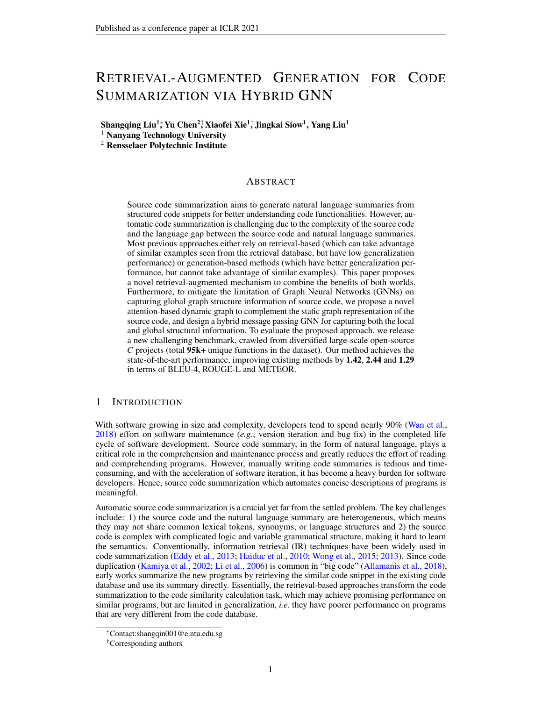## RETRIEVAL-AUGMENTED GENERATION FOR CODE SUMMARIZATION VIA HYBRID GNN

Shangqing Liu<sup>1</sup>; Yu Chen<sup>2†</sup> Xiaofei Xie<sup>1†</sup>, Jingkai Siow<sup>1</sup>, Yang Liu<sup>1</sup>

<sup>1</sup> Nanyang Technology University

<sup>2</sup> Rensselaer Polytechnic Institute

## ABSTRACT

Source code summarization aims to generate natural language summaries from structured code snippets for better understanding code functionalities. However, automatic code summarization is challenging due to the complexity of the source code and the language gap between the source code and natural language summaries. Most previous approaches either rely on retrieval-based (which can take advantage of similar examples seen from the retrieval database, but have low generalization performance) or generation-based methods (which have better generalization performance, but cannot take advantage of similar examples). This paper proposes a novel retrieval-augmented mechanism to combine the benefits of both worlds. Furthermore, to mitigate the limitation of Graph Neural Networks (GNNs) on capturing global graph structure information of source code, we propose a novel attention-based dynamic graph to complement the static graph representation of the source code, and design a hybrid message passing GNN for capturing both the local and global structural information. To evaluate the proposed approach, we release a new challenging benchmark, crawled from diversified large-scale open-source *C* projects (total 95k+ unique functions in the dataset). Our method achieves the state-of-the-art performance, improving existing methods by 1.42, 2.44 and 1.29 in terms of BLEU-4, ROUGE-L and METEOR.

## 1 INTRODUCTION

With software growing in size and complexity, developers tend to spend nearly 90% [\(Wan et al.,](#page-11-0) [2018\)](#page-11-0) effort on software maintenance (*e.g*., version iteration and bug fix) in the completed life cycle of software development. Source code summary, in the form of natural language, plays a critical role in the comprehension and maintenance process and greatly reduces the effort of reading and comprehending programs. However, manually writing code summaries is tedious and timeconsuming, and with the acceleration of software iteration, it has become a heavy burden for software developers. Hence, source code summarization which automates concise descriptions of programs is meaningful.

Automatic source code summarization is a crucial yet far from the settled problem. The key challenges include: 1) the source code and the natural language summary are heterogeneous, which means they may not share common lexical tokens, synonyms, or language structures and 2) the source code is complex with complicated logic and variable grammatical structure, making it hard to learn the semantics. Conventionally, information retrieval (IR) techniques have been widely used in code summarization [\(Eddy et al.,](#page-10-0) [2013;](#page-10-0) [Haiduc et al.,](#page-10-1) [2010;](#page-10-1) [Wong et al.,](#page-11-1) [2015;](#page-11-1) [2013\)](#page-11-2). Since code duplication [\(Kamiya et al.,](#page-10-2) [2002;](#page-10-2) [Li et al.,](#page-10-3) [2006\)](#page-10-3) is common in "big code" [\(Allamanis et al.,](#page-9-0) [2018\)](#page-9-0), early works summarize the new programs by retrieving the similar code snippet in the existing code database and use its summary directly. Essentially, the retrieval-based approaches transform the code summarization to the code similarity calculation task, which may achieve promising performance on similar programs, but are limited in generalization, *i.e*. they have poorer performance on programs that are very different from the code database.

<sup>∗</sup>Contact:shangqin001@e.ntu.edu.sg

<sup>†</sup>Corresponding authors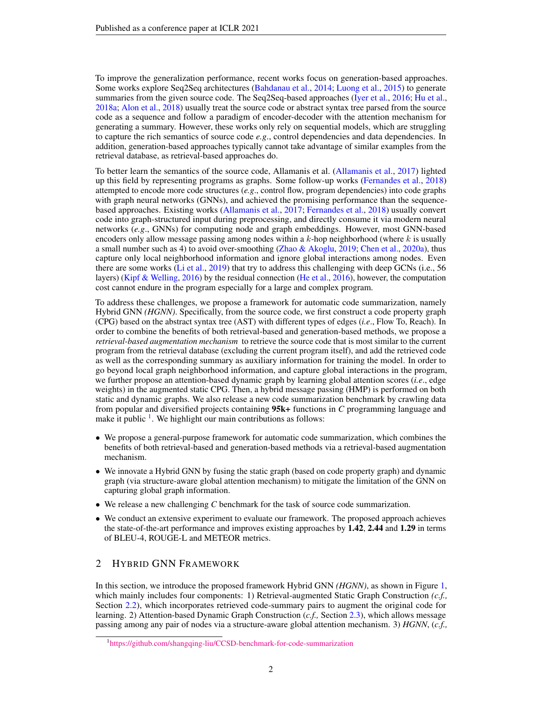To improve the generalization performance, recent works focus on generation-based approaches. Some works explore Seq2Seq architectures [\(Bahdanau et al.,](#page-9-1) [2014;](#page-9-1) [Luong et al.,](#page-11-3) [2015\)](#page-11-3) to generate summaries from the given source code. The Seq2Seq-based approaches [\(Iyer et al.,](#page-10-4) [2016;](#page-10-4) [Hu et al.,](#page-10-5) [2018a;](#page-10-5) [Alon et al.,](#page-9-2) [2018\)](#page-9-2) usually treat the source code or abstract syntax tree parsed from the source code as a sequence and follow a paradigm of encoder-decoder with the attention mechanism for generating a summary. However, these works only rely on sequential models, which are struggling to capture the rich semantics of source code *e.g*., control dependencies and data dependencies. In addition, generation-based approaches typically cannot take advantage of similar examples from the retrieval database, as retrieval-based approaches do.

To better learn the semantics of the source code, Allamanis et al. [\(Allamanis et al.,](#page-9-3) [2017\)](#page-9-3) lighted up this field by representing programs as graphs. Some follow-up works [\(Fernandes et al.,](#page-10-6) [2018\)](#page-10-6) attempted to encode more code structures (*e.g*., control flow, program dependencies) into code graphs with graph neural networks (GNNs), and achieved the promising performance than the sequencebased approaches. Existing works [\(Allamanis et al.,](#page-9-3) [2017;](#page-9-3) [Fernandes et al.,](#page-10-6) [2018\)](#page-10-6) usually convert code into graph-structured input during preprocessing, and directly consume it via modern neural networks (*e.g*., GNNs) for computing node and graph embeddings. However, most GNN-based encoders only allow message passing among nodes within a  $k$ -hop neighborhood (where  $k$  is usually a small number such as 4) to avoid over-smoothing [\(Zhao & Akoglu,](#page-12-0) [2019;](#page-12-0) [Chen et al.,](#page-9-4) [2020a\)](#page-9-4), thus capture only local neighborhood information and ignore global interactions among nodes. Even there are some works [\(Li et al.,](#page-10-7) [2019\)](#page-10-7) that try to address this challenging with deep GCNs (i.e., 56 layers) [\(Kipf & Welling,](#page-10-8) [2016\)](#page-10-8) by the residual connection [\(He et al.,](#page-10-9) [2016\)](#page-10-9), however, the computation cost cannot endure in the program especially for a large and complex program.

To address these challenges, we propose a framework for automatic code summarization, namely Hybrid GNN *(HGNN)*. Specifically, from the source code, we first construct a code property graph (CPG) based on the abstract syntax tree (AST) with different types of edges (*i.e*., Flow To, Reach). In order to combine the benefits of both retrieval-based and generation-based methods, we propose a *retrieval-based augmentation mechanism* to retrieve the source code that is most similar to the current program from the retrieval database (excluding the current program itself), and add the retrieved code as well as the corresponding summary as auxiliary information for training the model. In order to go beyond local graph neighborhood information, and capture global interactions in the program, we further propose an attention-based dynamic graph by learning global attention scores (*i.e*., edge weights) in the augmented static CPG. Then, a hybrid message passing (HMP) is performed on both static and dynamic graphs. We also release a new code summarization benchmark by crawling data from popular and diversified projects containing 95k+ functions in *C* programming language and make it public<sup>[1](#page-1-0)</sup>. We highlight our main contributions as follows:

- We propose a general-purpose framework for automatic code summarization, which combines the benefits of both retrieval-based and generation-based methods via a retrieval-based augmentation mechanism.
- We innovate a Hybrid GNN by fusing the static graph (based on code property graph) and dynamic graph (via structure-aware global attention mechanism) to mitigate the limitation of the GNN on capturing global graph information.
- We release a new challenging *C* benchmark for the task of source code summarization.
- We conduct an extensive experiment to evaluate our framework. The proposed approach achieves the state-of-the-art performance and improves existing approaches by 1.42, 2.44 and 1.29 in terms of BLEU-4, ROUGE-L and METEOR metrics.

## 2 HYBRID GNN FRAMEWORK

In this section, we introduce the proposed framework Hybrid GNN *(HGNN)*, as shown in Figure [1,](#page-2-0) which mainly includes four components: 1) Retrieval-augmented Static Graph Construction *(c.f.,* Section [2.2\)](#page-2-1), which incorporates retrieved code-summary pairs to augment the original code for learning. 2) Attention-based Dynamic Graph Construction (*c.f.,* Section [2.3\)](#page-4-0), which allows message passing among any pair of nodes via a structure-aware global attention mechanism. 3) *HGNN*, (*c.f.,*

<span id="page-1-0"></span><sup>1</sup> <https://github.com/shangqing-liu/CCSD-benchmark-for-code-summarization>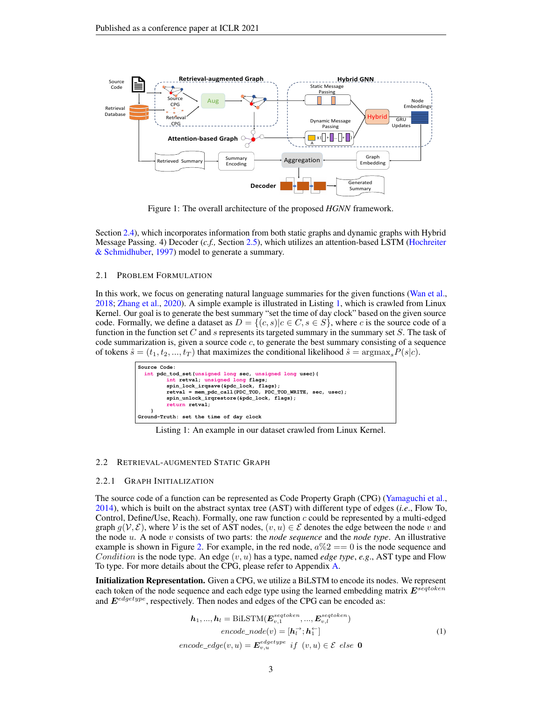

<span id="page-2-0"></span>Figure 1: The overall architecture of the proposed *HGNN* framework.

Section [2.4\)](#page-4-1), which incorporates information from both static graphs and dynamic graphs with Hybrid Message Passing. 4) Decoder (*c.f.,* Section [2.5\)](#page-5-0), which utilizes an attention-based LSTM [\(Hochreiter](#page-10-10) [& Schmidhuber,](#page-10-10) [1997\)](#page-10-10) model to generate a summary.

#### 2.1 PROBLEM FORMULATION

In this work, we focus on generating natural language summaries for the given functions [\(Wan et al.,](#page-11-0) [2018;](#page-11-0) [Zhang et al.,](#page-12-1) [2020\)](#page-12-1). A simple example is illustrated in Listing [1,](#page-2-2) which is crawled from Linux Kernel. Our goal is to generate the best summary "set the time of day clock" based on the given source code. Formally, we define a dataset as  $D = \{(c, s) | c \in C, s \in S\}$ , where c is the source code of a function in the function set C and s represents its targeted summary in the summary set  $S$ . The task of code summarization is, given a source code  $c$ , to generate the best summary consisting of a sequence of tokens  $\hat{s} = (t_1, t_2, ..., t_T)$  that maximizes the conditional likelihood  $\hat{s} = \text{argmax}_{s} P(s|c)$ .

<span id="page-2-2"></span>

| Source Code:                                                                                                              |  |  |  |  |
|---------------------------------------------------------------------------------------------------------------------------|--|--|--|--|
| int pdc tod set (unsigned long sec, unsigned long usec) {                                                                 |  |  |  |  |
| int retval; unsigned long flags;                                                                                          |  |  |  |  |
| spin lock irgsave(&pdc lock, flags);                                                                                      |  |  |  |  |
| retval = mem_pdc_call(PDC_TOD, PDC_TOD_WRITE, sec, usec);<br>spin unlock irgrestore (&pdc lock, flags);<br>return retval; |  |  |  |  |
|                                                                                                                           |  |  |  |  |
| Ground-Truth: set the time of day clock                                                                                   |  |  |  |  |

Listing 1: An example in our dataset crawled from Linux Kernel.

#### <span id="page-2-1"></span>2.2 RETRIEVAL-AUGMENTED STATIC GRAPH

#### <span id="page-2-3"></span>2.2.1 GRAPH INITIALIZATION

The source code of a function can be represented as Code Property Graph (CPG) [\(Yamaguchi et al.,](#page-11-4) [2014\)](#page-11-4), which is built on the abstract syntax tree (AST) with different type of edges (*i.e*., Flow To, Control, Define/Use, Reach). Formally, one raw function  $c$  could be represented by a multi-edged graph  $q(\mathcal{V}, \mathcal{E})$ , where V is the set of AST nodes,  $(v, u) \in \mathcal{E}$  denotes the edge between the node v and the node u. A node v consists of two parts: the *node sequence* and the *node type*. An illustrative example is shown in Figure [2.](#page-3-0) For example, in the red node,  $a\%2 == 0$  is the node sequence and Condition is the node type. An edge  $(v, u)$  has a type, named *edge type*, *e.g.*, AST type and Flow To type. For more details about the CPG, please refer to Appendix [A.](#page-13-0)

Initialization Representation. Given a CPG, we utilize a BiLSTM to encode its nodes. We represent each token of the node sequence and each edge type using the learned embedding matrix  $E^{seqtoken}$ and  $E^{edgetype}$ , respectively. Then nodes and edges of the CPG can be encoded as:

$$
h_1, ..., h_l = \text{BiLSTM}(\boldsymbol{E}_{v,1}^{setoken}, ..., \boldsymbol{E}_{v,l}^{setoken})
$$
  
\n
$$
encode\_node(v) = [h_l^{\rightarrow}; h_1^{\leftarrow}]
$$
  
\n
$$
encode\_edge(v, u) = \boldsymbol{E}_{v,u}^{edgetype} \text{ if } (v, u) \in \mathcal{E} \text{ else } \mathbf{0}
$$
\n(1)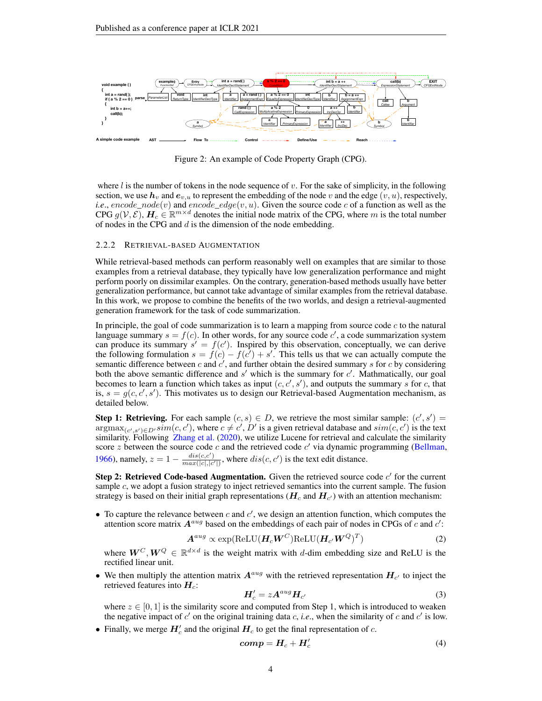

<span id="page-3-0"></span>Figure 2: An example of Code Property Graph (CPG).

where l is the number of tokens in the node sequence of v. For the sake of simplicity, in the following section, we use  $h_v$  and  $e_{v,u}$  to represent the embedding of the node v and the edge  $(v, u)$ , respectively, *i.e.*, encode\_node(v) and encode\_edge(v, u). Given the source code c of a function as well as the CPG  $g(V,\mathcal{E})$ ,  $H_c \in \mathbb{R}^{m \times d}$  denotes the initial node matrix of the CPG, where m is the total number of nodes in the CPG and  $d$  is the dimension of the node embedding.

#### <span id="page-3-1"></span>2.2.2 RETRIEVAL-BASED AUGMENTATION

While retrieval-based methods can perform reasonably well on examples that are similar to those examples from a retrieval database, they typically have low generalization performance and might perform poorly on dissimilar examples. On the contrary, generation-based methods usually have better generalization performance, but cannot take advantage of similar examples from the retrieval database. In this work, we propose to combine the benefits of the two worlds, and design a retrieval-augmented generation framework for the task of code summarization.

In principle, the goal of code summarization is to learn a mapping from source code  $c$  to the natural language summary  $s = f(c)$ . In other words, for any source code c', a code summarization system can produce its summary  $s' = f(c')$ . Inspired by this observation, conceptually, we can derive the following formulation  $s = f(c) - f(c^7) + s'$ . This tells us that we can actually compute the semantic difference between c and  $c'$ , and further obtain the desired summary s for c by considering both the above semantic difference and  $s'$  which is the summary for  $c'$ . Mathmatically, our goal becomes to learn a function which takes as input  $(c, c', s')$ , and outputs the summary s for c, that is,  $s = g(c, c', s')$ . This motivates us to design our Retrieval-based Augmentation mechanism, as detailed below.

**Step 1: Retrieving.** For each sample  $(c, s) \in D$ , we retrieve the most similar sample:  $(c', s') =$  $\argmax_{(c', s') \in D'} \overline{sim}(c, c')$ , where  $c \neq c', D'$  is a given retrieval database and  $\overline{sim}(c, c')$  is the text similarity. Following [Zhang et al.](#page-12-1) [\(2020\)](#page-12-1), we utilize Lucene for retrieval and calculate the similarity score z between the source code c and the retrieved code  $c'$  via dynamic programming [\(Bellman,](#page-9-5) [1966\)](#page-9-5), namely,  $z = 1 - \frac{dis(c, c')}{max(|c|, |c|)}$  $\frac{dis(c,c')}{max(|c|,|c'|)}$ , where  $dis(c,c')$  is the text edit distance.

Step 2: Retrieved Code-based Augmentation. Given the retrieved source code  $c'$  for the current sample  $c$ , we adopt a fusion strategy to inject retrieved semantics into the current sample. The fusion strategy is based on their initial graph representations ( $\bm{H}_c$  and  $\bm{H}_{c'}$ ) with an attention mechanism:

• To capture the relevance between  $c$  and  $c'$ , we design an attention function, which computes the attention score matrix  $A^{aug}$  based on the embeddings of each pair of nodes in CPGs of c and c':

$$
A^{aug} \propto \exp(\text{ReLU}(\boldsymbol{H}_c \boldsymbol{W}^C) \text{ReLU}(\boldsymbol{H}_{c'} \boldsymbol{W}^Q)^T)
$$
 (2)

where  $W^C, W^Q \in \mathbb{R}^{d \times d}$  is the weight matrix with d-dim embedding size and ReLU is the rectified linear unit.

• We then multiply the attention matrix  $A^{aug}$  with the retrieved representation  $H_{c'}$  to inject the retrieved features into  $H_c$ :

$$
H'_{c} = zA^{aug}H_{c'} \tag{3}
$$

where  $z \in [0, 1]$  is the similarity score and computed from Step 1, which is introduced to weaken the negative impact of  $c'$  on the original training data  $c$ , *i.e.*, when the similarity of  $c$  and  $c'$  is low.

• Finally, we merge  $H'_c$  and the original  $H_c$  to get the final representation of c.

$$
comp = H_c + H'_c \tag{4}
$$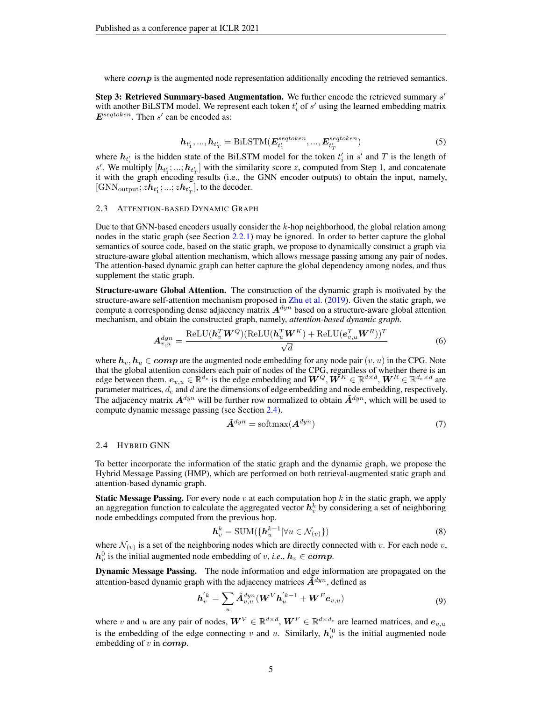where  $comp$  is the augmented node representation additionally encoding the retrieved semantics.

Step 3: Retrieved Summary-based Augmentation. We further encode the retrieved summary  $s'$ with another BiLSTM model. We represent each token  $t_i$  of  $s'$  using the learned embedding matrix  $E^{setoken}$ . Then s' can be encoded as:

$$
\boldsymbol{h}_{t'_{1}},...,\boldsymbol{h}_{t'_{T}} = \text{BiLSTM}(\boldsymbol{E}_{t'_{1}}^{seqtoken},...,\boldsymbol{E}_{t'_{T}}^{seqtoken})
$$
\n(5)

where  $h_{t_i}$  is the hidden state of the BiLSTM model for the token  $t_i$  in  $s'$  and T is the length of s'. We multiply  $[h_{t_1}^1; ...; h_{t_T}^1]$  with the similarity score z, computed from Step 1, and concatenate it with the graph encoding results (i.e., the GNN encoder outputs) to obtain the input, namely, [GNN<sub>output</sub>;  $zh_{t_1'}; ...; zh_{t_T'}]$ , to the decoder.

#### <span id="page-4-0"></span>2.3 ATTENTION-BASED DYNAMIC GRAPH

Due to that GNN-based encoders usually consider the  $k$ -hop neighborhood, the global relation among nodes in the static graph (see Section  $2.2.1$ ) may be ignored. In order to better capture the global semantics of source code, based on the static graph, we propose to dynamically construct a graph via structure-aware global attention mechanism, which allows message passing among any pair of nodes. The attention-based dynamic graph can better capture the global dependency among nodes, and thus supplement the static graph.

Structure-aware Global Attention. The construction of the dynamic graph is motivated by the structure-aware self-attention mechanism proposed in [Zhu et al.](#page-12-2) [\(2019\)](#page-12-2). Given the static graph, we compute a corresponding dense adjacency matrix  $A^{dyn}$  based on a structure-aware global attention mechanism, and obtain the constructed graph, namely, *attention-based dynamic graph*.

$$
A_{v,u}^{dyn} = \frac{\text{ReLU}(h_v^T W^Q)(\text{ReLU}(h_u^T W^K) + \text{ReLU}(e_{v,u}^T W^R))^T}{\sqrt{d}} \tag{6}
$$

where  $h_v, h_u \in comp$  are the augmented node embedding for any node pair  $(v, u)$  in the CPG. Note that the global attention considers each pair of nodes of the CPG, regardless of whether there is an edge between them.  $e_{v,u} \in \mathbb{R}^{d_e}$  is the edge embedding and  $W^Q, W^K \in \mathbb{R}^{d \times d}$ ,  $W^R \in \mathbb{R}^{d_e \times d}$  are parameter matrices,  $d_e$  and  $d$  are the dimensions of edge embedding and node embedding, respectively. The adjacency matrix  $A^{dyn}$  will be further row normalized to obtain  $\tilde{A}^{dyn}$ , which will be used to compute dynamic message passing (see Section [2.4\)](#page-4-1).

$$
\tilde{A}^{dyn} = \text{softmax}(A^{dyn})\tag{7}
$$

#### 2.4 HYBRID GNN

To better incorporate the information of the static graph and the dynamic graph, we propose the Hybrid Message Passing (HMP), which are performed on both retrieval-augmented static graph and attention-based dynamic graph.

**Static Message Passing.** For every node v at each computation hop  $k$  in the static graph, we apply an aggregation function to calculate the aggregated vector  $h_v^k$  by considering a set of neighboring node embeddings computed from the previous hop.

$$
\boldsymbol{h}_v^k = \text{SUM}(\{\boldsymbol{h}_u^{k-1} | \forall u \in \mathcal{N}_{(v)}\})
$$
\n(8)

where  $\mathcal{N}_{(v)}$  is a set of the neighboring nodes which are directly connected with v. For each node v,  $h_v^0$  is the initial augmented node embedding of v, *i.e.*,  $h_v \in comp$ .

Dynamic Message Passing. The node information and edge information are propagated on the attention-based dynamic graph with the adjacency matrices  $\mathbf{\hat{A}}^{dyn}$ , defined as

<span id="page-4-1"></span>
$$
\boldsymbol{h}_{v}^{'k} = \sum_{u} \tilde{\boldsymbol{A}}_{v,u}^{dyn} (\boldsymbol{W}^{V} \boldsymbol{h}_{u}^{'k-1} + \boldsymbol{W}^{F} \boldsymbol{e}_{v,u})
$$
(9)

where v and u are any pair of nodes,  $W^V \in \mathbb{R}^{d \times d}$ ,  $W^F \in \mathbb{R}^{d \times d_e}$  are learned matrices, and  $e_{v,u}$ is the embedding of the edge connecting v and u. Similarly,  $h_v^{(0)}$  is the initial augmented node embedding of  $v$  in  $comp$ .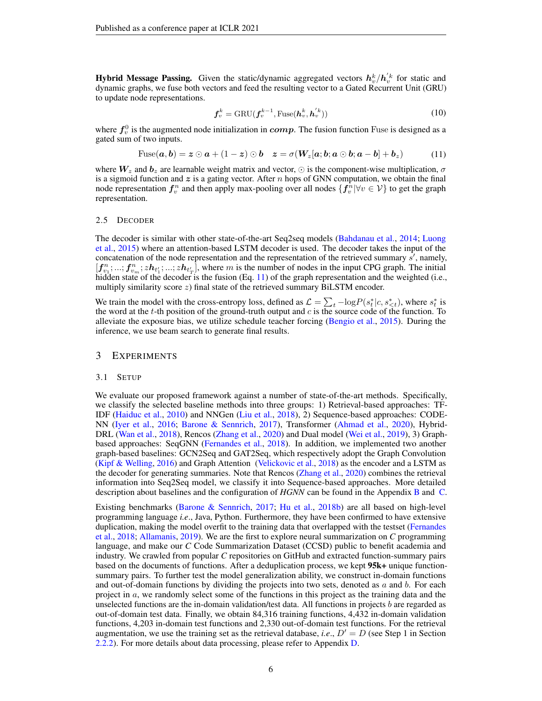**Hybrid Message Passing.** Given the static/dynamic aggregated vectors  $h_v^k / h_v^{'k}$  for static and dynamic graphs, we fuse both vectors and feed the resulting vector to a Gated Recurrent Unit (GRU) to update node representations.

$$
\boldsymbol{f}_v^k = \text{GRU}(\boldsymbol{f}_v^{k-1}, \text{Fuse}(\boldsymbol{h}_v^k, \boldsymbol{h}_v^{'k}))
$$
(10)

where  $f_v^0$  is the augmented node initialization in  $comp$ . The fusion function Fuse is designed as a gated sum of two inputs.

<span id="page-5-1"></span>
$$
\text{Fuse}(\boldsymbol{a},\boldsymbol{b})=\boldsymbol{z}\odot\boldsymbol{a}+(1-\boldsymbol{z})\odot\boldsymbol{b}\quad\boldsymbol{z}=\sigma(\boldsymbol{W}_z[\boldsymbol{a};\boldsymbol{b};\boldsymbol{a}\odot\boldsymbol{b};\boldsymbol{a}-\boldsymbol{b}]+\boldsymbol{b}_z)\tag{11}
$$

where  $W_z$  and  $b_z$  are learnable weight matrix and vector,  $\odot$  is the component-wise multiplication,  $\sigma$ is a sigmoid function and  $z$  is a gating vector. After n hops of GNN computation, we obtain the final node representation  $f_v^n$  and then apply max-pooling over all nodes  $\{f_v^n | \forall v \in V\}$  to get the graph representation.

#### <span id="page-5-0"></span>2.5 DECODER

The decoder is similar with other state-of-the-art Seq2seq models [\(Bahdanau et al.,](#page-9-1) [2014;](#page-9-1) [Luong](#page-11-3) [et al.,](#page-11-3) [2015\)](#page-11-3) where an attention-based LSTM decoder is used. The decoder takes the input of the concatenation of the node representation and the representation of the retrieved summary  $\hat{s}'$ , namely,  $[f_{v_1}^n; ...; f_{v_m}^n; zh_{t'_1};...; zh_{t'_T}]$ , where m is the number of nodes in the input CPG graph. The initial hidden state of the decoder is the fusion (Eq. [11\)](#page-5-1) of the graph representation and the weighted (i.e., multiply similarity score z) final state of the retrieved summary BiLSTM encoder.

We train the model with the cross-entropy loss, defined as  $\mathcal{L} = \sum_t -\log P(s_t^*|c, s_{\leq t}^*)$ , where  $s_t^*$  is the word at the  $t$ -th position of the ground-truth output and  $c$  is the source code of the function. To alleviate the exposure bias, we utilize schedule teacher forcing [\(Bengio et al.,](#page-9-6) [2015\)](#page-9-6). During the inference, we use beam search to generate final results.

## 3 EXPERIMENTS

#### 3.1 SETUP

We evaluate our proposed framework against a number of state-of-the-art methods. Specifically, we classify the selected baseline methods into three groups: 1) Retrieval-based approaches: TF-IDF [\(Haiduc et al.,](#page-10-1) [2010\)](#page-10-1) and NNGen [\(Liu et al.,](#page-11-5) [2018\)](#page-11-5), 2) Sequence-based approaches: CODE-NN [\(Iyer et al.,](#page-10-4) [2016;](#page-10-4) [Barone & Sennrich,](#page-9-7) [2017\)](#page-9-7), Transformer [\(Ahmad et al.,](#page-9-8) [2020\)](#page-9-8), Hybrid-DRL [\(Wan et al.,](#page-11-0) [2018\)](#page-11-0), Rencos [\(Zhang et al.,](#page-12-1) [2020\)](#page-12-1) and Dual model [\(Wei et al.,](#page-11-6) [2019\)](#page-11-6), 3) Graphbased approaches: SeqGNN [\(Fernandes et al.,](#page-10-6) [2018\)](#page-10-6). In addition, we implemented two another graph-based baselines: GCN2Seq and GAT2Seq, which respectively adopt the Graph Convolution [\(Kipf & Welling,](#page-10-8) [2016\)](#page-10-8) and Graph Attention [\(Velickovic et al.,](#page-11-7) [2018\)](#page-11-7) as the encoder and a LSTM as the decoder for generating summaries. Note that Rencos [\(Zhang et al.,](#page-12-1) [2020\)](#page-12-1) combines the retrieval information into Seq2Seq model, we classify it into Sequence-based approaches. More detailed description about baselines and the configuration of *HGNN* can be found in the Appendix [B](#page-13-1) and [C.](#page-14-0)

Existing benchmarks [\(Barone & Sennrich,](#page-9-7) [2017;](#page-9-7) [Hu et al.,](#page-10-11) [2018b\)](#page-10-11) are all based on high-level programming language *i.e*., Java, Python. Furthermore, they have been confirmed to have extensive duplication, making the model overfit to the training data that overlapped with the testset [\(Fernandes](#page-10-6) [et al.,](#page-10-6) [2018;](#page-10-6) [Allamanis,](#page-9-9) [2019\)](#page-9-9). We are the first to explore neural summarization on *C* programming language, and make our *C* Code Summarization Dataset (CCSD) public to benefit academia and industry. We crawled from popular *C* repositories on GitHub and extracted function-summary pairs based on the documents of functions. After a deduplication process, we kept 95k+ unique functionsummary pairs. To further test the model generalization ability, we construct in-domain functions and out-of-domain functions by dividing the projects into two sets, denoted as  $a$  and  $b$ . For each project in a, we randomly select some of the functions in this project as the training data and the unselected functions are the in-domain validation/test data. All functions in projects  $b$  are regarded as out-of-domain test data. Finally, we obtain 84,316 training functions, 4,432 in-domain validation functions, 4,203 in-domain test functions and 2,330 out-of-domain test functions. For the retrieval augmentation, we use the training set as the retrieval database, *i.e.*,  $D' = D$  (see Step 1 in Section [2.2.2\)](#page-3-1). For more details about data processing, please refer to Appendix [D.](#page-14-1)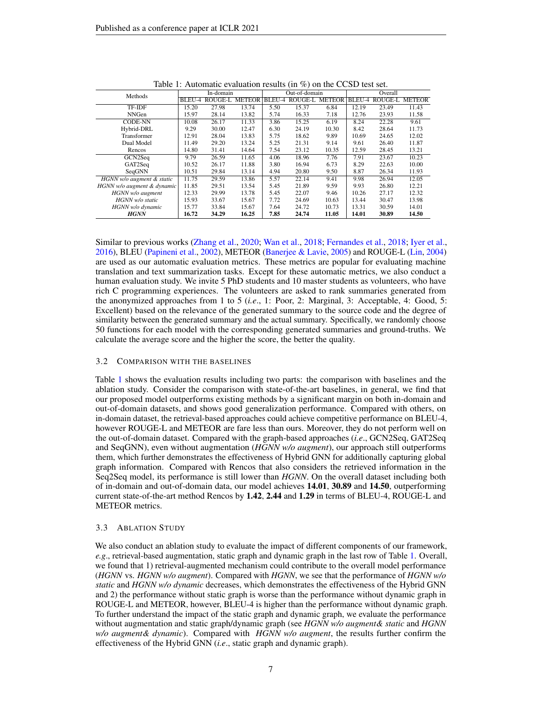| Methods                    | In-domain |                       |       | Out-of-domain |                       |       | Overall |         |               |
|----------------------------|-----------|-----------------------|-------|---------------|-----------------------|-------|---------|---------|---------------|
|                            | BLEU-4    | <b>ROUGE-L METEOR</b> |       | BLEU-4        | <b>ROUGE-L METEOR</b> |       | BLEU-4  | ROUGE-L | <b>METEOR</b> |
| TF-IDF                     | 15.20     | 27.98                 | 13.74 | 5.50          | 15.37                 | 6.84  | 12.19   | 23.49   | 11.43         |
| <b>NNGen</b>               | 15.97     | 28.14                 | 13.82 | 5.74          | 16.33                 | 7.18  | 12.76   | 23.93   | 11.58         |
| <b>CODE-NN</b>             | 10.08     | 26.17                 | 11.33 | 3.86          | 15.25                 | 6.19  | 8.24    | 22.28   | 9.61          |
| Hybrid-DRL                 | 9.29      | 30.00                 | 12.47 | 6.30          | 24.19                 | 10.30 | 8.42    | 28.64   | 11.73         |
| Transformer                | 12.91     | 28.04                 | 13.83 | 5.75          | 18.62                 | 9.89  | 10.69   | 24.65   | 12.02         |
| Dual Model                 | 11.49     | 29.20                 | 13.24 | 5.25          | 21.31                 | 9.14  | 9.61    | 26.40   | 11.87         |
| Rencos                     | 14.80     | 31.41                 | 14.64 | 7.54          | 23.12                 | 10.35 | 12.59   | 28.45   | 13.21         |
| GCN2Seq                    | 9.79      | 26.59                 | 11.65 | 4.06          | 18.96                 | 7.76  | 7.91    | 23.67   | 10.23         |
| GAT2Seq                    | 10.52     | 26.17                 | 11.88 | 3.80          | 16.94                 | 6.73  | 8.29    | 22.63   | 10.00         |
| SeqGNN                     | 10.51     | 29.84                 | 13.14 | 4.94          | 20.80                 | 9.50  | 8.87    | 26.34   | 11.93         |
| HGNN w/o augment & static  | 11.75     | 29.59                 | 13.86 | 5.57          | 22.14                 | 9.41  | 9.98    | 26.94   | 12.05         |
| HGNN w/o augment & dynamic | 11.85     | 29.51                 | 13.54 | 5.45          | 21.89                 | 9.59  | 9.93    | 26.80   | 12.21         |
| HGNN w/o augment           | 12.33     | 29.99                 | 13.78 | 5.45          | 22.07                 | 9.46  | 10.26   | 27.17   | 12.32         |
| HGNN w/o static            | 15.93     | 33.67                 | 15.67 | 7.72          | 24.69                 | 10.63 | 13.44   | 30.47   | 13.98         |
| HGNN w/o dynamic           | 15.77     | 33.84                 | 15.67 | 7.64          | 24.72                 | 10.73 | 13.31   | 30.59   | 14.01         |
| <b>HGNN</b>                | 16.72     | 34.29                 | 16.25 | 7.85          | 24.74                 | 11.05 | 14.01   | 30.89   | 14.50         |

<span id="page-6-0"></span>Table 1: Automatic evaluation results (in %) on the CCSD test set.

Similar to previous works [\(Zhang et al.,](#page-12-1) [2020;](#page-12-1) [Wan et al.,](#page-11-0) [2018;](#page-11-0) [Fernandes et al.,](#page-10-6) [2018;](#page-10-6) [Iyer et al.,](#page-10-4) [2016\)](#page-10-4), BLEU [\(Papineni et al.,](#page-11-8) [2002\)](#page-11-8), METEOR [\(Banerjee & Lavie,](#page-9-10) [2005\)](#page-9-10) and ROUGE-L [\(Lin,](#page-10-12) [2004\)](#page-10-12) are used as our automatic evaluation metrics. These metrics are popular for evaluating machine translation and text summarization tasks. Except for these automatic metrics, we also conduct a human evaluation study. We invite 5 PhD students and 10 master students as volunteers, who have rich C programming experiences. The volunteers are asked to rank summaries generated from the anonymized approaches from 1 to 5 (*i.e*., 1: Poor, 2: Marginal, 3: Acceptable, 4: Good, 5: Excellent) based on the relevance of the generated summary to the source code and the degree of similarity between the generated summary and the actual summary. Specifically, we randomly choose 50 functions for each model with the corresponding generated summaries and ground-truths. We calculate the average score and the higher the score, the better the quality.

#### 3.2 COMPARISON WITH THE BASELINES

Table [1](#page-6-0) shows the evaluation results including two parts: the comparison with baselines and the ablation study. Consider the comparison with state-of-the-art baselines, in general, we find that our proposed model outperforms existing methods by a significant margin on both in-domain and out-of-domain datasets, and shows good generalization performance. Compared with others, on in-domain dataset, the retrieval-based approaches could achieve competitive performance on BLEU-4, however ROUGE-L and METEOR are fare less than ours. Moreover, they do not perform well on the out-of-domain dataset. Compared with the graph-based approaches (*i.e*., GCN2Seq, GAT2Seq and SeqGNN), even without augmentation (*HGNN w/o augment*), our approach still outperforms them, which further demonstrates the effectiveness of Hybrid GNN for additionally capturing global graph information. Compared with Rencos that also considers the retrieved information in the Seq2Seq model, its performance is still lower than *HGNN*. On the overall dataset including both of in-domain and out-of-domain data, our model achieves 14.01, 30.89 and 14.50, outperforming current state-of-the-art method Rencos by 1.42, 2.44 and 1.29 in terms of BLEU-4, ROUGE-L and METEOR metrics.

#### 3.3 ABLATION STUDY

We also conduct an ablation study to evaluate the impact of different components of our framework, *e.g*., retrieval-based augmentation, static graph and dynamic graph in the last row of Table [1.](#page-6-0) Overall, we found that 1) retrieval-augmented mechanism could contribute to the overall model performance (*HGNN* vs. *HGNN w/o augment*). Compared with *HGNN*, we see that the performance of *HGNN w/o static* and *HGNN w/o dynamic* decreases, which demonstrates the effectiveness of the Hybrid GNN and 2) the performance without static graph is worse than the performance without dynamic graph in ROUGE-L and METEOR, however, BLEU-4 is higher than the performance without dynamic graph. To further understand the impact of the static graph and dynamic graph, we evaluate the performance without augmentation and static graph/dynamic graph (see *HGNN w/o augment& static* and *HGNN w/o augment& dynamic*). Compared with *HGNN w/o augment*, the results further confirm the effectiveness of the Hybrid GNN (*i.e*., static graph and dynamic graph).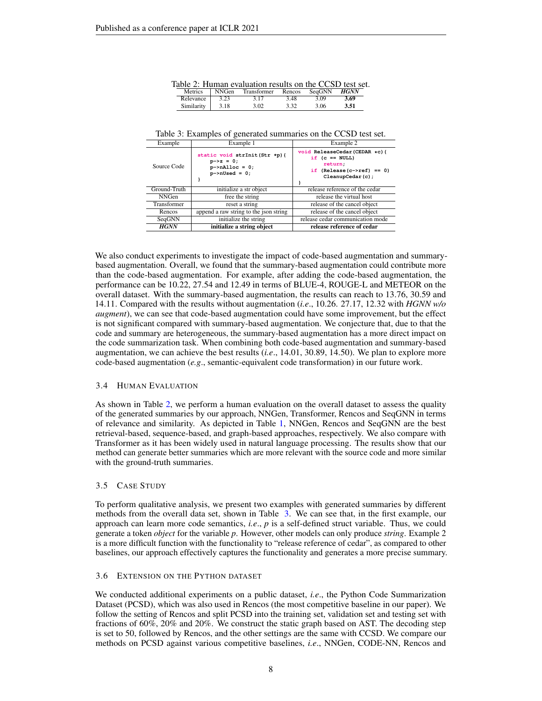<span id="page-7-0"></span>

|  |  |  |  |  |  | Table 2: Human evaluation results on the CCSD test set. |
|--|--|--|--|--|--|---------------------------------------------------------|
|  |  |  |  |  |  |                                                         |

| Metrics    | <b>NNGen</b> | Transformer | Rencos | SeqGNN | <b>HGNN</b> |
|------------|--------------|-------------|--------|--------|-------------|
| Relevance  | 3.23         | 3.17        | 3.48   | 3.09   | 3.69        |
| Similarity | 3.18         | 3.02        | 2 2 2  | 3.06   | 3.51        |

<span id="page-7-1"></span>Table 3: Examples of generated summaries on the CCSD test set.

| Example      | Example 1                                                                                       | Example 2                                                                                                         |  |  |  |
|--------------|-------------------------------------------------------------------------------------------------|-------------------------------------------------------------------------------------------------------------------|--|--|--|
| Source Code  | static void strInit(Str *p) {<br>$p->z = 0;$<br>$p$ ->nAlloc = 0;<br>$p\rightarrow n$ Used = 0; | void ReleaseCedar (CEDAR *c) {<br>if $(c == NULL)$<br>return.<br>if $(Release(c->ref)) == 0)$<br>CleanupCedar(c); |  |  |  |
| Ground-Truth | initialize a str object                                                                         | release reference of the cedar                                                                                    |  |  |  |
| <b>NNGen</b> | free the string                                                                                 | release the virtual host                                                                                          |  |  |  |
| Transformer  | reset a string                                                                                  | release of the cancel object                                                                                      |  |  |  |
| Rencos       | append a raw string to the json string                                                          | release of the cancel object                                                                                      |  |  |  |
| SeqGNN       | initialize the string                                                                           | release cedar communication mode                                                                                  |  |  |  |
| <b>HGNN</b>  | initialize a string object                                                                      | release reference of cedar                                                                                        |  |  |  |

We also conduct experiments to investigate the impact of code-based augmentation and summarybased augmentation. Overall, we found that the summary-based augmentation could contribute more than the code-based augmentation. For example, after adding the code-based augmentation, the performance can be 10.22, 27.54 and 12.49 in terms of BLUE-4, ROUGE-L and METEOR on the overall dataset. With the summary-based augmentation, the results can reach to 13.76, 30.59 and 14.11. Compared with the results without augmentation (*i.e*., 10.26. 27.17, 12.32 with *HGNN w/o augment*), we can see that code-based augmentation could have some improvement, but the effect is not significant compared with summary-based augmentation. We conjecture that, due to that the code and summary are heterogeneous, the summary-based augmentation has a more direct impact on the code summarization task. When combining both code-based augmentation and summary-based augmentation, we can achieve the best results (*i.e*., 14.01, 30.89, 14.50). We plan to explore more code-based augmentation (*e.g*., semantic-equivalent code transformation) in our future work.

#### 3.4 HUMAN EVALUATION

As shown in Table [2,](#page-7-0) we perform a human evaluation on the overall dataset to assess the quality of the generated summaries by our approach, NNGen, Transformer, Rencos and SeqGNN in terms of relevance and similarity. As depicted in Table [1,](#page-6-0) NNGen, Rencos and SeqGNN are the best retrieval-based, sequence-based, and graph-based approaches, respectively. We also compare with Transformer as it has been widely used in natural language processing. The results show that our method can generate better summaries which are more relevant with the source code and more similar with the ground-truth summaries.

#### 3.5 CASE STUDY

To perform qualitative analysis, we present two examples with generated summaries by different methods from the overall data set, shown in Table [3.](#page-7-1) We can see that, in the first example, our approach can learn more code semantics, *i.e*., *p* is a self-defined struct variable. Thus, we could generate a token *object* for the variable *p*. However, other models can only produce *string*. Example 2 is a more difficult function with the functionality to "release reference of cedar", as compared to other baselines, our approach effectively captures the functionality and generates a more precise summary.

#### 3.6 EXTENSION ON THE PYTHON DATASET

We conducted additional experiments on a public dataset, *i.e*., the Python Code Summarization Dataset (PCSD), which was also used in Rencos (the most competitive baseline in our paper). We follow the setting of Rencos and split PCSD into the training set, validation set and testing set with fractions of 60%, 20% and 20%. We construct the static graph based on AST. The decoding step is set to 50, followed by Rencos, and the other settings are the same with CCSD. We compare our methods on PCSD against various competitive baselines, *i.e*., NNGen, CODE-NN, Rencos and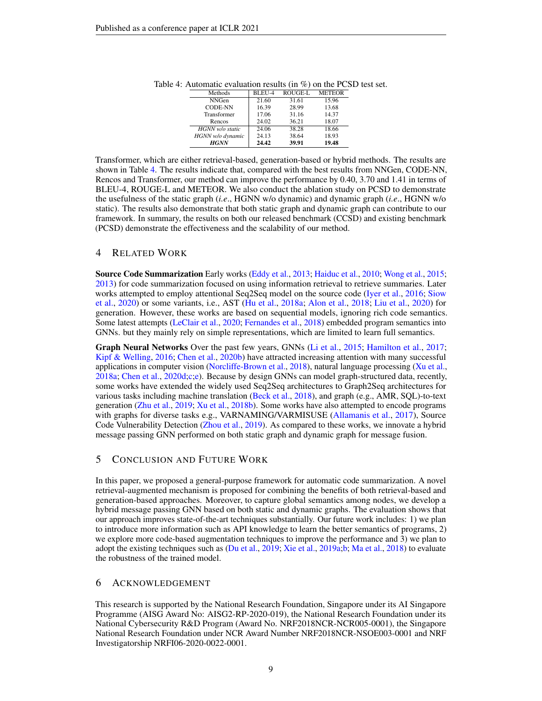<span id="page-8-0"></span>

| Methods          | BLEU-4 | <b>ROUGE-L</b> | <b>METEOR</b> |
|------------------|--------|----------------|---------------|
| <b>NNGen</b>     | 21.60  | 31.61          | 15.96         |
| <b>CODE-NN</b>   | 16.39  | 28.99          | 13.68         |
| Transformer      | 17.06  | 31.16          | 14.37         |
| Rencos           | 24.02  | 36.21          | 18.07         |
| HGNN w/o static  | 24.06  | 38.28          | 18.66         |
| HGNN w/o dynamic | 24.13  | 38.64          | 18.93         |
| <b>HGNN</b>      | 24.42  | 39.91          | 19.48         |

Table 4: Automatic evaluation results (in %) on the PCSD test set.

Transformer, which are either retrieval-based, generation-based or hybrid methods. The results are shown in Table [4.](#page-8-0) The results indicate that, compared with the best results from NNGen, CODE-NN, Rencos and Transformer, our method can improve the performance by 0.40, 3.70 and 1.41 in terms of BLEU-4, ROUGE-L and METEOR. We also conduct the ablation study on PCSD to demonstrate the usefulness of the static graph (*i.e*., HGNN w/o dynamic) and dynamic graph (*i.e*., HGNN w/o static). The results also demonstrate that both static graph and dynamic graph can contribute to our framework. In summary, the results on both our released benchmark (CCSD) and existing benchmark (PCSD) demonstrate the effectiveness and the scalability of our method.

## 4 RELATED WORK

Source Code Summarization Early works [\(Eddy et al.,](#page-10-0) [2013;](#page-10-0) [Haiduc et al.,](#page-10-1) [2010;](#page-10-1) [Wong et al.,](#page-11-1) [2015;](#page-11-1) [2013\)](#page-11-2) for code summarization focused on using information retrieval to retrieve summaries. Later works attempted to employ attentional Seq2Seq model on the source code [\(Iyer et al.,](#page-10-4) [2016;](#page-10-4) [Siow](#page-11-9) [et al.,](#page-11-9) [2020\)](#page-11-9) or some variants, i.e., AST [\(Hu et al.,](#page-10-5) [2018a;](#page-10-5) [Alon et al.,](#page-9-2) [2018;](#page-9-2) [Liu et al.,](#page-10-13) [2020\)](#page-10-13) for generation. However, these works are based on sequential models, ignoring rich code semantics. Some latest attempts [\(LeClair et al.,](#page-10-14) [2020;](#page-10-14) [Fernandes et al.,](#page-10-6) [2018\)](#page-10-6) embedded program semantics into GNNs. but they mainly rely on simple representations, which are limited to learn full semantics.

Graph Neural Networks Over the past few years, GNNs [\(Li et al.,](#page-10-15) [2015;](#page-10-15) [Hamilton et al.,](#page-10-16) [2017;](#page-10-16) [Kipf & Welling,](#page-10-8) [2016;](#page-10-8) [Chen et al.,](#page-9-11) [2020b\)](#page-9-11) have attracted increasing attention with many successful applications in computer vision [\(Norcliffe-Brown et al.,](#page-11-10) [2018\)](#page-11-10), natural language processing [\(Xu et al.,](#page-11-11) [2018a;](#page-11-11) [Chen et al.,](#page-9-12) [2020d](#page-9-12)[;c](#page-9-13)[;e\)](#page-9-14). Because by design GNNs can model graph-structured data, recently, some works have extended the widely used Seq2Seq architectures to Graph2Seq architectures for various tasks including machine translation [\(Beck et al.,](#page-9-15) [2018\)](#page-9-15), and graph (e.g., AMR, SQL)-to-text generation [\(Zhu et al.,](#page-12-2) [2019;](#page-12-2) [Xu et al.,](#page-11-12) [2018b\)](#page-11-12). Some works have also attempted to encode programs with graphs for diverse tasks e.g., VARNAMING/VARMISUSE [\(Allamanis et al.,](#page-9-3) [2017\)](#page-9-3), Source Code Vulnerability Detection [\(Zhou et al.,](#page-12-3) [2019\)](#page-12-3). As compared to these works, we innovate a hybrid message passing GNN performed on both static graph and dynamic graph for message fusion.

## 5 CONCLUSION AND FUTURE WORK

In this paper, we proposed a general-purpose framework for automatic code summarization. A novel retrieval-augmented mechanism is proposed for combining the benefits of both retrieval-based and generation-based approaches. Moreover, to capture global semantics among nodes, we develop a hybrid message passing GNN based on both static and dynamic graphs. The evaluation shows that our approach improves state-of-the-art techniques substantially. Our future work includes: 1) we plan to introduce more information such as API knowledge to learn the better semantics of programs, 2) we explore more code-based augmentation techniques to improve the performance and 3) we plan to adopt the existing techniques such as [\(Du et al.,](#page-9-16) [2019;](#page-9-16) [Xie et al.,](#page-11-13) [2019a;](#page-11-13)[b;](#page-11-14) [Ma et al.,](#page-11-15) [2018\)](#page-11-15) to evaluate the robustness of the trained model.

## 6 ACKNOWLEDGEMENT

This research is supported by the National Research Foundation, Singapore under its AI Singapore Programme (AISG Award No: AISG2-RP-2020-019), the National Research Foundation under its National Cybersecurity R&D Program (Award No. NRF2018NCR-NCR005-0001), the Singapore National Research Foundation under NCR Award Number NRF2018NCR-NSOE003-0001 and NRF Investigatorship NRFI06-2020-0022-0001.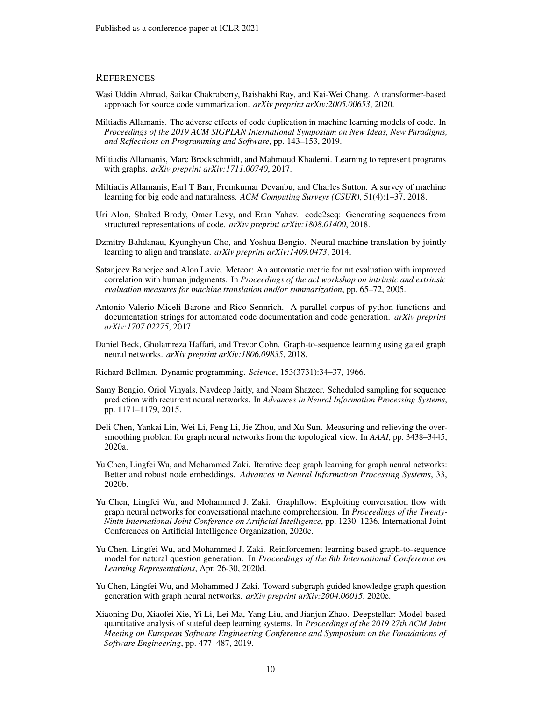## **REFERENCES**

- <span id="page-9-8"></span>Wasi Uddin Ahmad, Saikat Chakraborty, Baishakhi Ray, and Kai-Wei Chang. A transformer-based approach for source code summarization. *arXiv preprint arXiv:2005.00653*, 2020.
- <span id="page-9-9"></span>Miltiadis Allamanis. The adverse effects of code duplication in machine learning models of code. In *Proceedings of the 2019 ACM SIGPLAN International Symposium on New Ideas, New Paradigms, and Reflections on Programming and Software*, pp. 143–153, 2019.
- <span id="page-9-3"></span>Miltiadis Allamanis, Marc Brockschmidt, and Mahmoud Khademi. Learning to represent programs with graphs. *arXiv preprint arXiv:1711.00740*, 2017.
- <span id="page-9-0"></span>Miltiadis Allamanis, Earl T Barr, Premkumar Devanbu, and Charles Sutton. A survey of machine learning for big code and naturalness. *ACM Computing Surveys (CSUR)*, 51(4):1–37, 2018.
- <span id="page-9-2"></span>Uri Alon, Shaked Brody, Omer Levy, and Eran Yahav. code2seq: Generating sequences from structured representations of code. *arXiv preprint arXiv:1808.01400*, 2018.
- <span id="page-9-1"></span>Dzmitry Bahdanau, Kyunghyun Cho, and Yoshua Bengio. Neural machine translation by jointly learning to align and translate. *arXiv preprint arXiv:1409.0473*, 2014.
- <span id="page-9-10"></span>Satanjeev Banerjee and Alon Lavie. Meteor: An automatic metric for mt evaluation with improved correlation with human judgments. In *Proceedings of the acl workshop on intrinsic and extrinsic evaluation measures for machine translation and/or summarization*, pp. 65–72, 2005.
- <span id="page-9-7"></span>Antonio Valerio Miceli Barone and Rico Sennrich. A parallel corpus of python functions and documentation strings for automated code documentation and code generation. *arXiv preprint arXiv:1707.02275*, 2017.
- <span id="page-9-15"></span>Daniel Beck, Gholamreza Haffari, and Trevor Cohn. Graph-to-sequence learning using gated graph neural networks. *arXiv preprint arXiv:1806.09835*, 2018.
- <span id="page-9-5"></span>Richard Bellman. Dynamic programming. *Science*, 153(3731):34–37, 1966.
- <span id="page-9-6"></span>Samy Bengio, Oriol Vinyals, Navdeep Jaitly, and Noam Shazeer. Scheduled sampling for sequence prediction with recurrent neural networks. In *Advances in Neural Information Processing Systems*, pp. 1171–1179, 2015.
- <span id="page-9-4"></span>Deli Chen, Yankai Lin, Wei Li, Peng Li, Jie Zhou, and Xu Sun. Measuring and relieving the oversmoothing problem for graph neural networks from the topological view. In *AAAI*, pp. 3438–3445, 2020a.
- <span id="page-9-11"></span>Yu Chen, Lingfei Wu, and Mohammed Zaki. Iterative deep graph learning for graph neural networks: Better and robust node embeddings. *Advances in Neural Information Processing Systems*, 33, 2020b.
- <span id="page-9-13"></span>Yu Chen, Lingfei Wu, and Mohammed J. Zaki. Graphflow: Exploiting conversation flow with graph neural networks for conversational machine comprehension. In *Proceedings of the Twenty-Ninth International Joint Conference on Artificial Intelligence*, pp. 1230–1236. International Joint Conferences on Artificial Intelligence Organization, 2020c.
- <span id="page-9-12"></span>Yu Chen, Lingfei Wu, and Mohammed J. Zaki. Reinforcement learning based graph-to-sequence model for natural question generation. In *Proceedings of the 8th International Conference on Learning Representations*, Apr. 26-30, 2020d.
- <span id="page-9-14"></span>Yu Chen, Lingfei Wu, and Mohammed J Zaki. Toward subgraph guided knowledge graph question generation with graph neural networks. *arXiv preprint arXiv:2004.06015*, 2020e.
- <span id="page-9-16"></span>Xiaoning Du, Xiaofei Xie, Yi Li, Lei Ma, Yang Liu, and Jianjun Zhao. Deepstellar: Model-based quantitative analysis of stateful deep learning systems. In *Proceedings of the 2019 27th ACM Joint Meeting on European Software Engineering Conference and Symposium on the Foundations of Software Engineering*, pp. 477–487, 2019.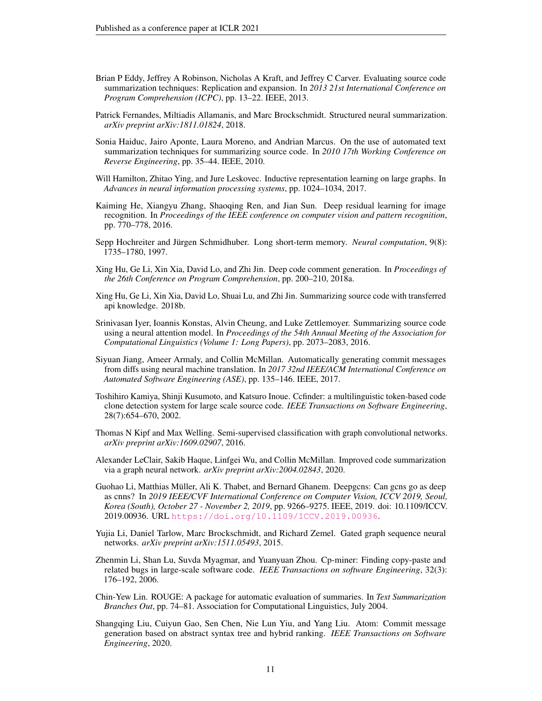- <span id="page-10-0"></span>Brian P Eddy, Jeffrey A Robinson, Nicholas A Kraft, and Jeffrey C Carver. Evaluating source code summarization techniques: Replication and expansion. In *2013 21st International Conference on Program Comprehension (ICPC)*, pp. 13–22. IEEE, 2013.
- <span id="page-10-6"></span>Patrick Fernandes, Miltiadis Allamanis, and Marc Brockschmidt. Structured neural summarization. *arXiv preprint arXiv:1811.01824*, 2018.
- <span id="page-10-1"></span>Sonia Haiduc, Jairo Aponte, Laura Moreno, and Andrian Marcus. On the use of automated text summarization techniques for summarizing source code. In *2010 17th Working Conference on Reverse Engineering*, pp. 35–44. IEEE, 2010.
- <span id="page-10-16"></span>Will Hamilton, Zhitao Ying, and Jure Leskovec. Inductive representation learning on large graphs. In *Advances in neural information processing systems*, pp. 1024–1034, 2017.
- <span id="page-10-9"></span>Kaiming He, Xiangyu Zhang, Shaoqing Ren, and Jian Sun. Deep residual learning for image recognition. In *Proceedings of the IEEE conference on computer vision and pattern recognition*, pp. 770–778, 2016.
- <span id="page-10-10"></span>Sepp Hochreiter and Jürgen Schmidhuber. Long short-term memory. *Neural computation*, 9(8): 1735–1780, 1997.
- <span id="page-10-5"></span>Xing Hu, Ge Li, Xin Xia, David Lo, and Zhi Jin. Deep code comment generation. In *Proceedings of the 26th Conference on Program Comprehension*, pp. 200–210, 2018a.
- <span id="page-10-11"></span>Xing Hu, Ge Li, Xin Xia, David Lo, Shuai Lu, and Zhi Jin. Summarizing source code with transferred api knowledge. 2018b.
- <span id="page-10-4"></span>Srinivasan Iyer, Ioannis Konstas, Alvin Cheung, and Luke Zettlemoyer. Summarizing source code using a neural attention model. In *Proceedings of the 54th Annual Meeting of the Association for Computational Linguistics (Volume 1: Long Papers)*, pp. 2073–2083, 2016.
- <span id="page-10-17"></span>Siyuan Jiang, Ameer Armaly, and Collin McMillan. Automatically generating commit messages from diffs using neural machine translation. In *2017 32nd IEEE/ACM International Conference on Automated Software Engineering (ASE)*, pp. 135–146. IEEE, 2017.
- <span id="page-10-2"></span>Toshihiro Kamiya, Shinji Kusumoto, and Katsuro Inoue. Ccfinder: a multilinguistic token-based code clone detection system for large scale source code. *IEEE Transactions on Software Engineering*, 28(7):654–670, 2002.
- <span id="page-10-8"></span>Thomas N Kipf and Max Welling. Semi-supervised classification with graph convolutional networks. *arXiv preprint arXiv:1609.02907*, 2016.
- <span id="page-10-14"></span>Alexander LeClair, Sakib Haque, Linfgei Wu, and Collin McMillan. Improved code summarization via a graph neural network. *arXiv preprint arXiv:2004.02843*, 2020.
- <span id="page-10-7"></span>Guohao Li, Matthias Müller, Ali K. Thabet, and Bernard Ghanem. Deepgens: Can gens go as deep as cnns? In *2019 IEEE/CVF International Conference on Computer Vision, ICCV 2019, Seoul, Korea (South), October 27 - November 2, 2019*, pp. 9266–9275. IEEE, 2019. doi: 10.1109/ICCV. 2019.00936. URL <https://doi.org/10.1109/ICCV.2019.00936>.
- <span id="page-10-15"></span>Yujia Li, Daniel Tarlow, Marc Brockschmidt, and Richard Zemel. Gated graph sequence neural networks. *arXiv preprint arXiv:1511.05493*, 2015.
- <span id="page-10-3"></span>Zhenmin Li, Shan Lu, Suvda Myagmar, and Yuanyuan Zhou. Cp-miner: Finding copy-paste and related bugs in large-scale software code. *IEEE Transactions on software Engineering*, 32(3): 176–192, 2006.
- <span id="page-10-12"></span>Chin-Yew Lin. ROUGE: A package for automatic evaluation of summaries. In *Text Summarization Branches Out*, pp. 74–81. Association for Computational Linguistics, July 2004.
- <span id="page-10-13"></span>Shangqing Liu, Cuiyun Gao, Sen Chen, Nie Lun Yiu, and Yang Liu. Atom: Commit message generation based on abstract syntax tree and hybrid ranking. *IEEE Transactions on Software Engineering*, 2020.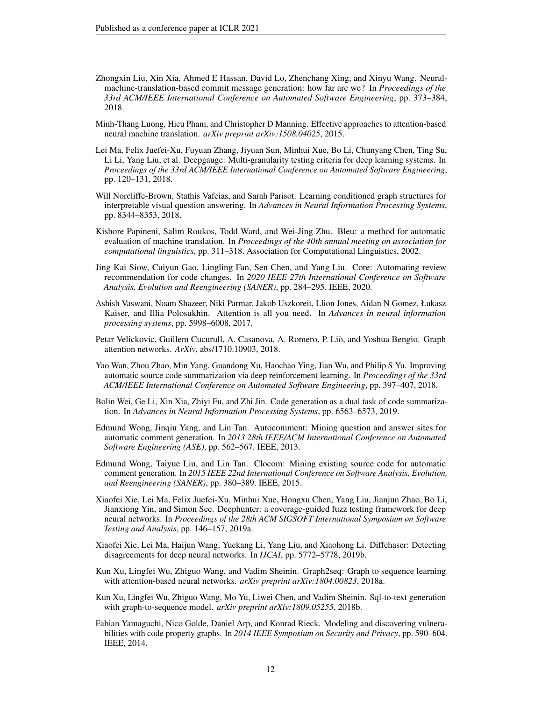- <span id="page-11-5"></span>Zhongxin Liu, Xin Xia, Ahmed E Hassan, David Lo, Zhenchang Xing, and Xinyu Wang. Neuralmachine-translation-based commit message generation: how far are we? In *Proceedings of the 33rd ACM/IEEE International Conference on Automated Software Engineering*, pp. 373–384, 2018.
- <span id="page-11-3"></span>Minh-Thang Luong, Hieu Pham, and Christopher D Manning. Effective approaches to attention-based neural machine translation. *arXiv preprint arXiv:1508.04025*, 2015.
- <span id="page-11-15"></span>Lei Ma, Felix Juefei-Xu, Fuyuan Zhang, Jiyuan Sun, Minhui Xue, Bo Li, Chunyang Chen, Ting Su, Li Li, Yang Liu, et al. Deepgauge: Multi-granularity testing criteria for deep learning systems. In *Proceedings of the 33rd ACM/IEEE International Conference on Automated Software Engineering*, pp. 120–131, 2018.
- <span id="page-11-10"></span>Will Norcliffe-Brown, Stathis Vafeias, and Sarah Parisot. Learning conditioned graph structures for interpretable visual question answering. In *Advances in Neural Information Processing Systems*, pp. 8344–8353, 2018.
- <span id="page-11-8"></span>Kishore Papineni, Salim Roukos, Todd Ward, and Wei-Jing Zhu. Bleu: a method for automatic evaluation of machine translation. In *Proceedings of the 40th annual meeting on association for computational linguistics*, pp. 311–318. Association for Computational Linguistics, 2002.
- <span id="page-11-9"></span>Jing Kai Siow, Cuiyun Gao, Lingling Fan, Sen Chen, and Yang Liu. Core: Automating review recommendation for code changes. In *2020 IEEE 27th International Conference on Software Analysis, Evolution and Reengineering (SANER)*, pp. 284–295. IEEE, 2020.
- <span id="page-11-16"></span>Ashish Vaswani, Noam Shazeer, Niki Parmar, Jakob Uszkoreit, Llion Jones, Aidan N Gomez, Łukasz Kaiser, and Illia Polosukhin. Attention is all you need. In *Advances in neural information processing systems*, pp. 5998–6008, 2017.
- <span id="page-11-7"></span>Petar Velickovic, Guillem Cucurull, A. Casanova, A. Romero, P. Liò, and Yoshua Bengio. Graph attention networks. *ArXiv*, abs/1710.10903, 2018.
- <span id="page-11-0"></span>Yao Wan, Zhou Zhao, Min Yang, Guandong Xu, Haochao Ying, Jian Wu, and Philip S Yu. Improving automatic source code summarization via deep reinforcement learning. In *Proceedings of the 33rd ACM/IEEE International Conference on Automated Software Engineering*, pp. 397–407, 2018.
- <span id="page-11-6"></span>Bolin Wei, Ge Li, Xin Xia, Zhiyi Fu, and Zhi Jin. Code generation as a dual task of code summarization. In *Advances in Neural Information Processing Systems*, pp. 6563–6573, 2019.
- <span id="page-11-2"></span>Edmund Wong, Jinqiu Yang, and Lin Tan. Autocomment: Mining question and answer sites for automatic comment generation. In *2013 28th IEEE/ACM International Conference on Automated Software Engineering (ASE)*, pp. 562–567. IEEE, 2013.
- <span id="page-11-1"></span>Edmund Wong, Taiyue Liu, and Lin Tan. Clocom: Mining existing source code for automatic comment generation. In *2015 IEEE 22nd International Conference on Software Analysis, Evolution, and Reengineering (SANER)*, pp. 380–389. IEEE, 2015.
- <span id="page-11-13"></span>Xiaofei Xie, Lei Ma, Felix Juefei-Xu, Minhui Xue, Hongxu Chen, Yang Liu, Jianjun Zhao, Bo Li, Jianxiong Yin, and Simon See. Deephunter: a coverage-guided fuzz testing framework for deep neural networks. In *Proceedings of the 28th ACM SIGSOFT International Symposium on Software Testing and Analysis*, pp. 146–157, 2019a.
- <span id="page-11-14"></span>Xiaofei Xie, Lei Ma, Haijun Wang, Yuekang Li, Yang Liu, and Xiaohong Li. Diffchaser: Detecting disagreements for deep neural networks. In *IJCAI*, pp. 5772–5778, 2019b.
- <span id="page-11-11"></span>Kun Xu, Lingfei Wu, Zhiguo Wang, and Vadim Sheinin. Graph2seq: Graph to sequence learning with attention-based neural networks. *arXiv preprint arXiv:1804.00823*, 2018a.
- <span id="page-11-12"></span>Kun Xu, Lingfei Wu, Zhiguo Wang, Mo Yu, Liwei Chen, and Vadim Sheinin. Sql-to-text generation with graph-to-sequence model. *arXiv preprint arXiv:1809.05255*, 2018b.
- <span id="page-11-4"></span>Fabian Yamaguchi, Nico Golde, Daniel Arp, and Konrad Rieck. Modeling and discovering vulnerabilities with code property graphs. In *2014 IEEE Symposium on Security and Privacy*, pp. 590–604. IEEE, 2014.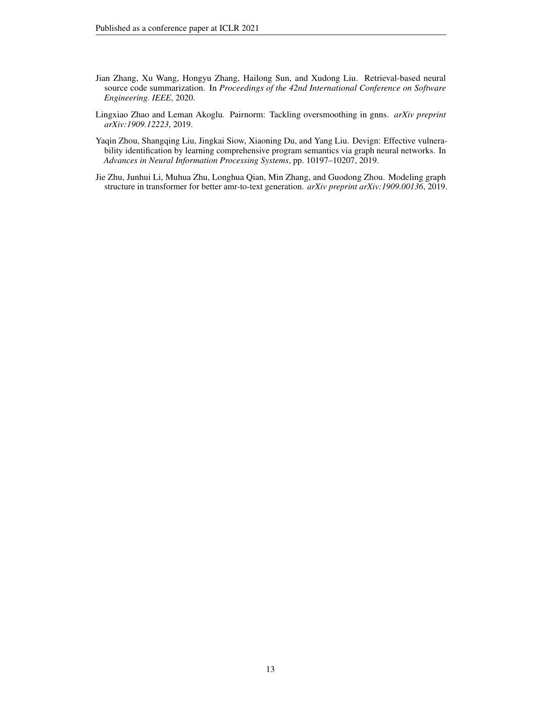- <span id="page-12-1"></span>Jian Zhang, Xu Wang, Hongyu Zhang, Hailong Sun, and Xudong Liu. Retrieval-based neural source code summarization. In *Proceedings of the 42nd International Conference on Software Engineering. IEEE*, 2020.
- <span id="page-12-0"></span>Lingxiao Zhao and Leman Akoglu. Pairnorm: Tackling oversmoothing in gnns. *arXiv preprint arXiv:1909.12223*, 2019.
- <span id="page-12-3"></span>Yaqin Zhou, Shangqing Liu, Jingkai Siow, Xiaoning Du, and Yang Liu. Devign: Effective vulnerability identification by learning comprehensive program semantics via graph neural networks. In *Advances in Neural Information Processing Systems*, pp. 10197–10207, 2019.
- <span id="page-12-2"></span>Jie Zhu, Junhui Li, Muhua Zhu, Longhua Qian, Min Zhang, and Guodong Zhou. Modeling graph structure in transformer for better amr-to-text generation. *arXiv preprint arXiv:1909.00136*, 2019.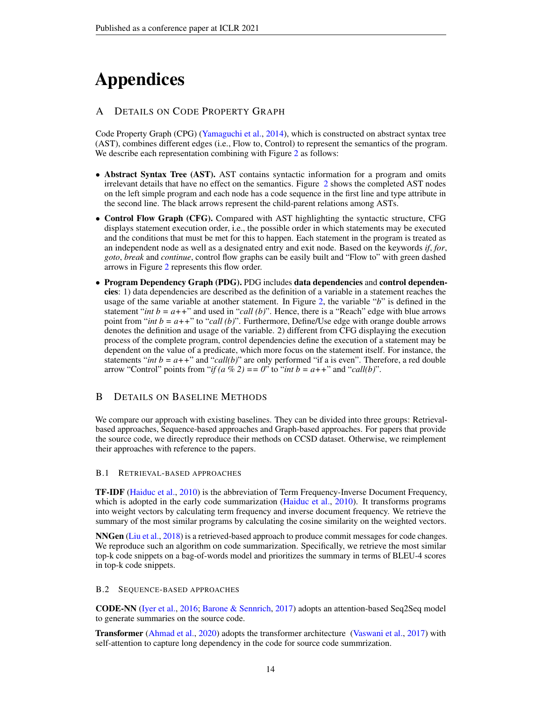# Appendices

## <span id="page-13-0"></span>A DETAILS ON CODE PROPERTY GRAPH

Code Property Graph (CPG) [\(Yamaguchi et al.,](#page-11-4) [2014\)](#page-11-4), which is constructed on abstract syntax tree (AST), combines different edges (i.e., Flow to, Control) to represent the semantics of the program. We describe each representation combining with Figure [2](#page-3-0) as follows:

- Abstract Syntax Tree (AST). AST contains syntactic information for a program and omits irrelevant details that have no effect on the semantics. Figure [2](#page-3-0) shows the completed AST nodes on the left simple program and each node has a code sequence in the first line and type attribute in the second line. The black arrows represent the child-parent relations among ASTs.
- Control Flow Graph (CFG). Compared with AST highlighting the syntactic structure, CFG displays statement execution order, i.e., the possible order in which statements may be executed and the conditions that must be met for this to happen. Each statement in the program is treated as an independent node as well as a designated entry and exit node. Based on the keywords *if*, *for*, *goto*, *break* and *continue*, control flow graphs can be easily built and "Flow to" with green dashed arrows in Figure [2](#page-3-0) represents this flow order.
- Program Dependency Graph (PDG). PDG includes data dependencies and control dependencies: 1) data dependencies are described as the definition of a variable in a statement reaches the usage of the same variable at another statement. In Figure [2,](#page-3-0) the variable "*b*" is defined in the statement "*int b = a*++" and used in "*call (b)*". Hence, there is a "Reach" edge with blue arrows point from "*int b = a++*" to "*call (b)*". Furthermore, Define/Use edge with orange double arrows denotes the definition and usage of the variable. 2) different from CFG displaying the execution process of the complete program, control dependencies define the execution of a statement may be dependent on the value of a predicate, which more focus on the statement itself. For instance, the statements "*int b = a*++" and "*call(b)*" are only performed "if a is even". Therefore, a red double arrow "Control" points from "*if*  $(a \% 2) = 0$ " to "*int b = a*++" and "*call* $(b)$ ".

## <span id="page-13-1"></span>B DETAILS ON BASELINE METHODS

We compare our approach with existing baselines. They can be divided into three groups: Retrievalbased approaches, Sequence-based approaches and Graph-based approaches. For papers that provide the source code, we directly reproduce their methods on CCSD dataset. Otherwise, we reimplement their approaches with reference to the papers.

## B.1 RETRIEVAL-BASED APPROACHES

TF-IDF [\(Haiduc et al.,](#page-10-1) [2010\)](#page-10-1) is the abbreviation of Term Frequency-Inverse Document Frequency, which is adopted in the early code summarization [\(Haiduc et al.,](#page-10-1) [2010\)](#page-10-1). It transforms programs into weight vectors by calculating term frequency and inverse document frequency. We retrieve the summary of the most similar programs by calculating the cosine similarity on the weighted vectors.

NNGen [\(Liu et al.,](#page-11-5) [2018\)](#page-11-5) is a retrieved-based approach to produce commit messages for code changes. We reproduce such an algorithm on code summarization. Specifically, we retrieve the most similar top-k code snippets on a bag-of-words model and prioritizes the summary in terms of BLEU-4 scores in top-k code snippets.

## B.2 SEQUENCE-BASED APPROACHES

CODE-NN [\(Iyer et al.,](#page-10-4) [2016;](#page-10-4) [Barone & Sennrich,](#page-9-7) [2017\)](#page-9-7) adopts an attention-based Seq2Seq model to generate summaries on the source code.

Transformer [\(Ahmad et al.,](#page-9-8) [2020\)](#page-9-8) adopts the transformer architecture [\(Vaswani et al.,](#page-11-16) [2017\)](#page-11-16) with self-attention to capture long dependency in the code for source code summrization.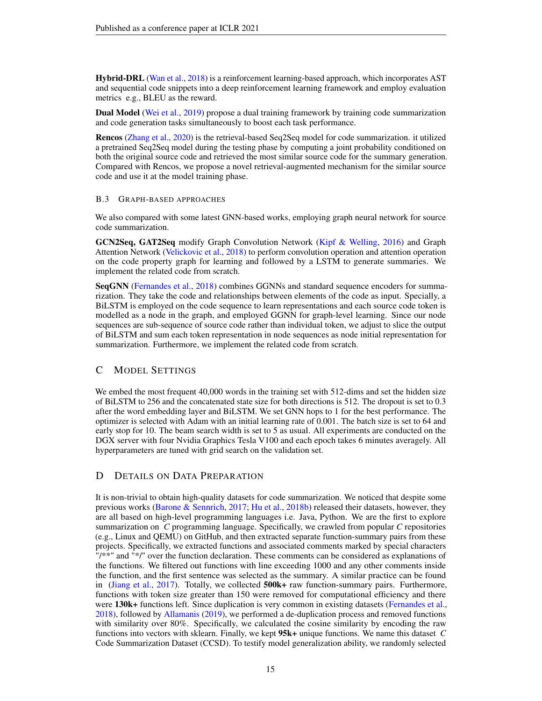Hybrid-DRL [\(Wan et al.,](#page-11-0) [2018\)](#page-11-0) is a reinforcement learning-based approach, which incorporates AST and sequential code snippets into a deep reinforcement learning framework and employ evaluation metrics e.g., BLEU as the reward.

Dual Model [\(Wei et al.,](#page-11-6) [2019\)](#page-11-6) propose a dual training framework by training code summarization and code generation tasks simultaneously to boost each task performance.

Rencos [\(Zhang et al.,](#page-12-1) [2020\)](#page-12-1) is the retrieval-based Seq2Seq model for code summarization. it utilized a pretrained Seq2Seq model during the testing phase by computing a joint probability conditioned on both the original source code and retrieved the most similar source code for the summary generation. Compared with Rencos, we propose a novel retrieval-augmented mechanism for the similar source code and use it at the model training phase.

#### B.3 GRAPH-BASED APPROACHES

We also compared with some latest GNN-based works, employing graph neural network for source code summarization.

GCN2Seq, GAT2Seq modify Graph Convolution Network [\(Kipf & Welling,](#page-10-8) [2016\)](#page-10-8) and Graph Attention Network [\(Velickovic et al.,](#page-11-7) [2018\)](#page-11-7) to perform convolution operation and attention operation on the code property graph for learning and followed by a LSTM to generate summaries. We implement the related code from scratch.

SeqGNN [\(Fernandes et al.,](#page-10-6) [2018\)](#page-10-6) combines GGNNs and standard sequence encoders for summarization. They take the code and relationships between elements of the code as input. Specially, a BiLSTM is employed on the code sequence to learn representations and each source code token is modelled as a node in the graph, and employed GGNN for graph-level learning. Since our node sequences are sub-sequence of source code rather than individual token, we adjust to slice the output of BiLSTM and sum each token representation in node sequences as node initial representation for summarization. Furthermore, we implement the related code from scratch.

## <span id="page-14-0"></span>C MODEL SETTINGS

We embed the most frequent 40,000 words in the training set with 512-dims and set the hidden size of BiLSTM to 256 and the concatenated state size for both directions is 512. The dropout is set to 0.3 after the word embedding layer and BiLSTM. We set GNN hops to 1 for the best performance. The optimizer is selected with Adam with an initial learning rate of 0.001. The batch size is set to 64 and early stop for 10. The beam search width is set to 5 as usual. All experiments are conducted on the DGX server with four Nvidia Graphics Tesla V100 and each epoch takes 6 minutes averagely. All hyperparameters are tuned with grid search on the validation set.

## <span id="page-14-1"></span>D DETAILS ON DATA PREPARATION

It is non-trivial to obtain high-quality datasets for code summarization. We noticed that despite some previous works [\(Barone & Sennrich,](#page-9-7) [2017;](#page-9-7) [Hu et al.,](#page-10-11) [2018b\)](#page-10-11) released their datasets, however, they are all based on high-level programming languages i.e. Java, Python. We are the first to explore summarization on *C* programming language. Specifically, we crawled from popular *C* repositories (e.g., Linux and QEMU) on GitHub, and then extracted separate function-summary pairs from these projects. Specifically, we extracted functions and associated comments marked by special characters "/\*\*" and "\*/" over the function declaration. These comments can be considered as explanations of the functions. We filtered out functions with line exceeding 1000 and any other comments inside the function, and the first sentence was selected as the summary. A similar practice can be found in [\(Jiang et al.,](#page-10-17) [2017\)](#page-10-17). Totally, we collected 500k+ raw function-summary pairs. Furthermore, functions with token size greater than 150 were removed for computational efficiency and there were 130k+ functions left. Since duplication is very common in existing datasets [\(Fernandes et al.,](#page-10-6) [2018\)](#page-10-6), followed by [Allamanis](#page-9-9) [\(2019\)](#page-9-9), we performed a de-duplication process and removed functions with similarity over 80%. Specifically, we calculated the cosine similarity by encoding the raw functions into vectors with sklearn. Finally, we kept 95k+ unique functions. We name this dataset *C* Code Summarization Dataset (CCSD). To testify model generalization ability, we randomly selected